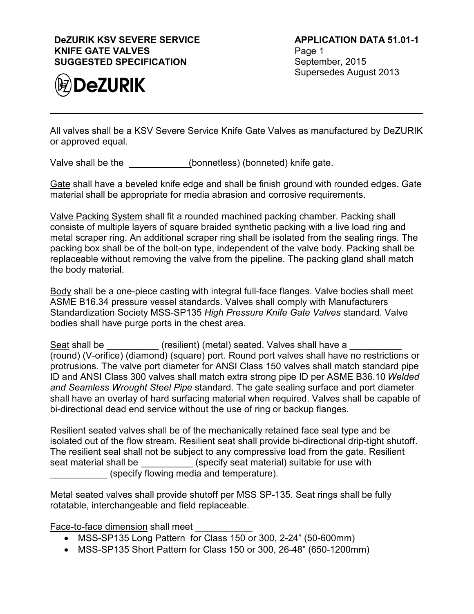## **DeZURIK KSV SEVERE SERVICE KNIFE GATE VALVES SUGGESTED SPECIFICATION**



All valves shall be a KSV Severe Service Knife Gate Valves as manufactured by DeZURIK or approved equal.

Valve shall be the (bonnetless) (bonneted) knife gate.

Gate shall have a beveled knife edge and shall be finish ground with rounded edges. Gate material shall be appropriate for media abrasion and corrosive requirements.

Valve Packing System shall fit a rounded machined packing chamber. Packing shall consiste of multiple layers of square braided synthetic packing with a live load ring and metal scraper ring. An additional scraper ring shall be isolated from the sealing rings. The packing box shall be of the bolt-on type, independent of the valve body. Packing shall be replaceable without removing the valve from the pipeline. The packing gland shall match the body material.

Body shall be a one-piece casting with integral full-face flanges. Valve bodies shall meet ASME B16.34 pressure vessel standards. Valves shall comply with Manufacturers Standardization Society MSS-SP135 *High Pressure Knife Gate Valves* standard. Valve bodies shall have purge ports in the chest area.

Seat shall be  $\qquad \qquad$  (resilient) (metal) seated. Valves shall have a (round) (V-orifice) (diamond) (square) port. Round port valves shall have no restrictions or protrusions. The valve port diameter for ANSI Class 150 valves shall match standard pipe ID and ANSI Class 300 valves shall match extra strong pipe ID per ASME B36.10 *Welded and Seamless Wrought Steel Pipe* standard. The gate sealing surface and port diameter shall have an overlay of hard surfacing material when required. Valves shall be capable of bi-directional dead end service without the use of ring or backup flanges.

Resilient seated valves shall be of the mechanically retained face seal type and be isolated out of the flow stream. Resilient seat shall provide bi-directional drip-tight shutoff. The resilient seal shall not be subject to any compressive load from the gate. Resilient seat material shall be  $\qquad \qquad$  (specify seat material) suitable for use with (specify flowing media and temperature).

Metal seated valves shall provide shutoff per MSS SP-135. Seat rings shall be fully rotatable, interchangeable and field replaceable.

Face-to-face dimension shall meet

- MSS-SP135 Long Pattern for Class 150 or 300, 2-24" (50-600mm)
- MSS-SP135 Short Pattern for Class 150 or 300, 26-48" (650-1200mm)